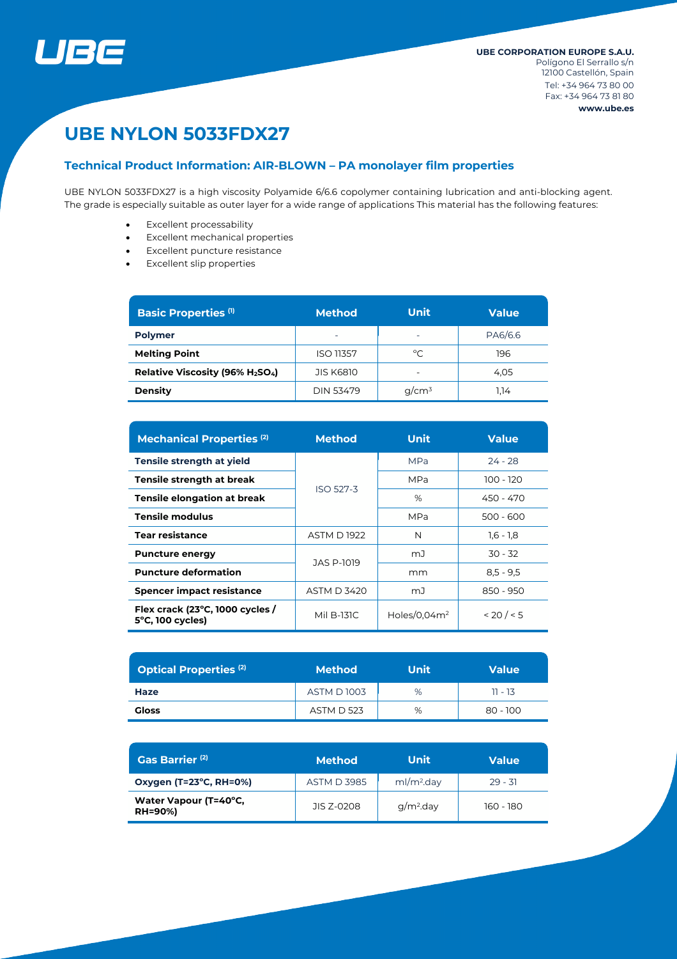

# **UBE NYLON 5033FDX27**

# **Technical Product Information: AIR-BLOWN – PA monolayer film properties**

UBE NYLON 5033FDX27 is a high viscosity Polyamide 6/6.6 copolymer containing lubrication and anti-blocking agent. The grade is especially suitable as outer layer for a wide range of applications This material has the following features:

- Excellent processability
- Excellent mechanical properties
- Excellent puncture resistance
- Excellent slip properties

| <b>Basic Properties (1)</b>    | <b>Method</b>            | <b>Unit</b>              | <b>Value</b> |  |
|--------------------------------|--------------------------|--------------------------|--------------|--|
| <b>Polymer</b>                 | $\overline{\phantom{0}}$ | $\overline{\phantom{0}}$ | PA6/6.6      |  |
| <b>Melting Point</b>           | <b>ISO 11357</b>         | °C                       | 196          |  |
| Relative Viscosity (96% H2SO4) | <b>JIS K6810</b>         | $\overline{\phantom{0}}$ | 4.05         |  |
| <b>Density</b>                 | <b>DIN 53479</b>         | $q/cm^3$                 | 1.14         |  |

| <b>Mechanical Properties (2)</b>                              | <b>Method</b>      | <b>Unit</b>     | <b>Value</b> |  |
|---------------------------------------------------------------|--------------------|-----------------|--------------|--|
| Tensile strength at yield                                     |                    | <b>MPa</b>      | $74 - 78$    |  |
| Tensile strength at break                                     | <b>ISO 527-3</b>   | MPa             | 100 - 120    |  |
| <b>Tensile elongation at break</b>                            |                    | %               | 450 - 470    |  |
| <b>Tensile modulus</b>                                        |                    | MPa             | $500 - 600$  |  |
| <b>Tear resistance</b>                                        | <b>ASTM D 1922</b> | N               | $1.6 - 1.8$  |  |
| <b>Puncture energy</b>                                        | JAS P-1019         | mJ              | $30 - 32$    |  |
| <b>Puncture deformation</b>                                   |                    | mm              | $8,5 - 9,5$  |  |
| <b>Spencer impact resistance</b>                              | <b>ASTM D 3420</b> | mJ              | 850 - 950    |  |
| Flex crack (23°C, 1000 cycles /<br>$5^{\circ}$ C, 100 cycles) | Mil B-131C         | Holes/0.04 $m2$ | < 20 / < 5   |  |

| <b>Optical Properties (2)</b> | <b>Method</b>     | Unit | <b>Value</b> |  |
|-------------------------------|-------------------|------|--------------|--|
| Haze                          | <b>ASTM D1003</b> | %    | $11 - 13$    |  |
| Gloss                         | <b>ASTM D 523</b> | %    | 80 - 100     |  |

| Gas Barrier <sup>(2)</sup>              | 'Method            | Unit                   | <b>Value</b> |
|-----------------------------------------|--------------------|------------------------|--------------|
| Oxygen (T=23°C, RH=0%)                  | <b>ASTM D 3985</b> | ml/m <sup>2</sup> .day | $29 - 31$    |
| Water Vapour (T=40°C,<br><b>RH=90%)</b> | JIS Z-0208         | $q/m2$ .day            | 160 - 180    |